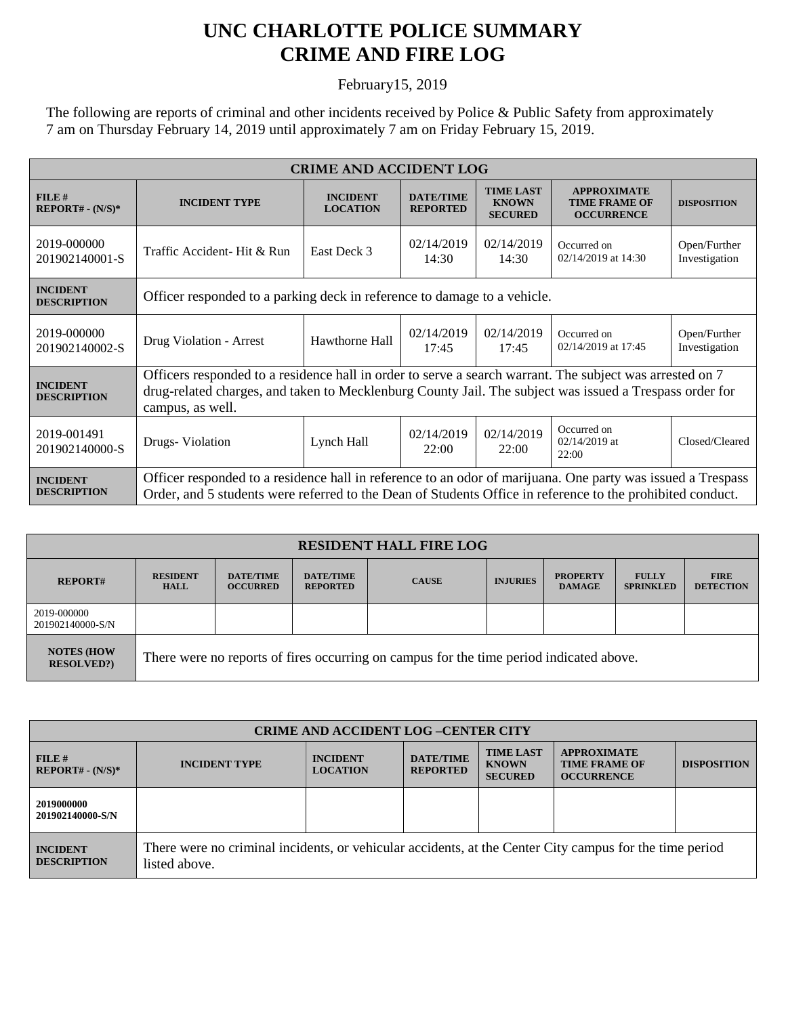## **UNC CHARLOTTE POLICE SUMMARY CRIME AND FIRE LOG**

February15, 2019

The following are reports of criminal and other incidents received by Police & Public Safety from approximately 7 am on Thursday February 14, 2019 until approximately 7 am on Friday February 15, 2019.

| <b>CRIME AND ACCIDENT LOG</b>         |                                                                                                                                                                                                                                         |                                    |                                     |                                                    |                                                                 |                               |  |
|---------------------------------------|-----------------------------------------------------------------------------------------------------------------------------------------------------------------------------------------------------------------------------------------|------------------------------------|-------------------------------------|----------------------------------------------------|-----------------------------------------------------------------|-------------------------------|--|
| $FILE$ #<br>$REPORT# - (N/S)*$        | <b>INCIDENT TYPE</b>                                                                                                                                                                                                                    | <b>INCIDENT</b><br><b>LOCATION</b> | <b>DATE/TIME</b><br><b>REPORTED</b> | <b>TIME LAST</b><br><b>KNOWN</b><br><b>SECURED</b> | <b>APPROXIMATE</b><br><b>TIME FRAME OF</b><br><b>OCCURRENCE</b> | <b>DISPOSITION</b>            |  |
| 2019-000000<br>201902140001-S         | Traffic Accident-Hit & Run                                                                                                                                                                                                              | East Deck 3                        | 02/14/2019<br>14:30                 | 02/14/2019<br>14:30                                | Occurred on<br>02/14/2019 at 14:30                              | Open/Further<br>Investigation |  |
| <b>INCIDENT</b><br><b>DESCRIPTION</b> | Officer responded to a parking deck in reference to damage to a vehicle.                                                                                                                                                                |                                    |                                     |                                                    |                                                                 |                               |  |
| 2019-000000<br>201902140002-S         | Drug Violation - Arrest                                                                                                                                                                                                                 | Hawthorne Hall                     | 02/14/2019<br>17:45                 | 02/14/2019<br>17:45                                | Occurred on<br>02/14/2019 at 17:45                              | Open/Further<br>Investigation |  |
| <b>INCIDENT</b><br><b>DESCRIPTION</b> | Officers responded to a residence hall in order to serve a search warrant. The subject was arrested on 7<br>drug-related charges, and taken to Mecklenburg County Jail. The subject was issued a Trespass order for<br>campus, as well. |                                    |                                     |                                                    |                                                                 |                               |  |
| 2019-001491<br>201902140000-S         | Drugs-Violation                                                                                                                                                                                                                         | Lynch Hall                         | 02/14/2019<br>22:00                 | 02/14/2019<br>22:00                                | Occurred on<br>$02/14/2019$ at<br>22:00                         | Closed/Cleared                |  |
| <b>INCIDENT</b><br><b>DESCRIPTION</b> | Officer responded to a residence hall in reference to an odor of marijuana. One party was issued a Trespass<br>Order, and 5 students were referred to the Dean of Students Office in reference to the prohibited conduct.               |                                    |                                     |                                                    |                                                                 |                               |  |

| <b>RESIDENT HALL FIRE LOG</b>          |                                                                                         |                                     |                                     |              |                 |                                  |                                  |                                 |
|----------------------------------------|-----------------------------------------------------------------------------------------|-------------------------------------|-------------------------------------|--------------|-----------------|----------------------------------|----------------------------------|---------------------------------|
| <b>REPORT#</b>                         | <b>RESIDENT</b><br><b>HALL</b>                                                          | <b>DATE/TIME</b><br><b>OCCURRED</b> | <b>DATE/TIME</b><br><b>REPORTED</b> | <b>CAUSE</b> | <b>INJURIES</b> | <b>PROPERTY</b><br><b>DAMAGE</b> | <b>FULLY</b><br><b>SPRINKLED</b> | <b>FIRE</b><br><b>DETECTION</b> |
| 2019-000000<br>201902140000-S/N        |                                                                                         |                                     |                                     |              |                 |                                  |                                  |                                 |
| <b>NOTES (HOW</b><br><b>RESOLVED?)</b> | There were no reports of fires occurring on campus for the time period indicated above. |                                     |                                     |              |                 |                                  |                                  |                                 |

| <b>CRIME AND ACCIDENT LOG-CENTER CITY</b> |                                                                                                                          |                                    |                                     |                                                    |                                                                 |                    |  |
|-------------------------------------------|--------------------------------------------------------------------------------------------------------------------------|------------------------------------|-------------------------------------|----------------------------------------------------|-----------------------------------------------------------------|--------------------|--|
| FILE H<br>$REPORT# - (N/S)*$              | <b>INCIDENT TYPE</b>                                                                                                     | <b>INCIDENT</b><br><b>LOCATION</b> | <b>DATE/TIME</b><br><b>REPORTED</b> | <b>TIME LAST</b><br><b>KNOWN</b><br><b>SECURED</b> | <b>APPROXIMATE</b><br><b>TIME FRAME OF</b><br><b>OCCURRENCE</b> | <b>DISPOSITION</b> |  |
| 2019000000<br>201902140000-S/N            |                                                                                                                          |                                    |                                     |                                                    |                                                                 |                    |  |
| <b>INCIDENT</b><br><b>DESCRIPTION</b>     | There were no criminal incidents, or vehicular accidents, at the Center City campus for the time period<br>listed above. |                                    |                                     |                                                    |                                                                 |                    |  |